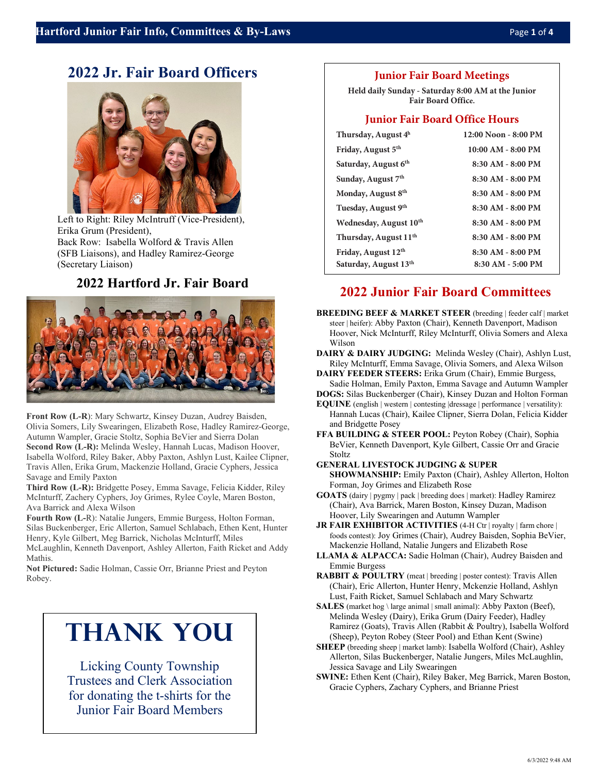# **2022 Jr. Fair Board Officers**



Left to Right: Riley McIntruff (Vice-President), Erika Grum (President), Back Row: Isabella Wolford & Travis Allen (SFB Liaisons), and Hadley Ramirez-George (Secretary Liaison)

# **2022 Hartford Jr. Fair Board**



**Front Row (L-R**): Mary Schwartz, Kinsey Duzan, Audrey Baisden, Olivia Somers, Lily Swearingen, Elizabeth Rose, Hadley Ramirez-George, Autumn Wampler, Gracie Stoltz, Sophia BeVier and Sierra Dolan **Second Row (L-R):** Melinda Wesley, Hannah Lucas, Madison Hoover, Isabella Wolford, Riley Baker, Abby Paxton, Ashlyn Lust, Kailee Clipner, Travis Allen, Erika Grum, Mackenzie Holland, Gracie Cyphers, Jessica Savage and Emily Paxton

**Third Row (L-R):** Bridgette Posey, Emma Savage, Felicia Kidder, Riley McInturff, Zachery Cyphers, Joy Grimes, Rylee Coyle, Maren Boston, Ava Barrick and Alexa Wilson

**Fourth Row (L-**R): Natalie Jungers, Emmie Burgess, Holton Forman, Silas Buckenberger, Eric Allerton, Samuel Schlabach, Ethen Kent, Hunter Henry, Kyle Gilbert, Meg Barrick, Nicholas McInturff, Miles McLaughlin, Kenneth Davenport, Ashley Allerton, Faith Ricket and Addy

Mathis.

**Not Pictured:** Sadie Holman, Cassie Orr, Brianne Priest and Peyton Robey.

# **Thank You**

Licking County Township Trustees and Clerk Association for donating the t-shirts for the Junior Fair Board Members

## **Junior Fair Board Meetings**

**Held daily Sunday - Saturday 8:00 AM at the Junior Fair Board Office.**

## **Junior Fair Board Office Hours**

| Thursday, August $4h$              | 12:00 Noon - 8:00 PM  |
|------------------------------------|-----------------------|
| Friday, August 5 <sup>th</sup>     | $10:00$ AM - 8:00 PM  |
| Saturday, August 6 <sup>th</sup>   | 8:30 AM - 8:00 PM     |
| Sunday, August 7 <sup>th</sup>     | $8:30$ AM - $8:00$ PM |
| Monday, August 8 <sup>th</sup>     | $8:30$ AM - $8:00$ PM |
| Tuesday, August 9th                | 8:30 AM - 8:00 PM     |
| Wednesday, August 10 <sup>th</sup> | 8:30 AM - 8:00 PM     |
| Thursday, August 11 <sup>th</sup>  | $8:30$ AM - $8:00$ PM |
| Friday, August 12 <sup>th</sup>    | 8:30 AM - 8:00 PM     |
| Saturday, August 13th              | 8:30 AM - 5:00 PM     |

# **2022 Junior Fair Board Committees**

- **BREEDING BEEF & MARKET STEER** (breeding | feeder calf | market steer | heifer): Abby Paxton (Chair), Kenneth Davenport, Madison Hoover, Nick McInturff, Riley McInturff, Olivia Somers and Alexa Wilson
- **DAIRY & DAIRY JUDGING:** Melinda Wesley (Chair), Ashlyn Lust, Riley McInturff, Emma Savage, Olivia Somers, and Alexa Wilson

**DAIRY FEEDER STEERS:** Erika Grum (Chair), Emmie Burgess, Sadie Holman, Emily Paxton, Emma Savage and Autumn Wampler

**DOGS:** Silas Buckenberger (Chair), Kinsey Duzan and Holton Forman

**EQUINE** (english | western | contesting | dressage | performance | versatility): Hannah Lucas (Chair), Kailee Clipner, Sierra Dolan, Felicia Kidder and Bridgette Posey

**FFA BUILDING & STEER POOL:** Peyton Robey (Chair), Sophia BeVier, Kenneth Davenport, Kyle Gilbert, Cassie Orr and Gracie Stoltz

**GENERAL LIVESTOCK JUDGING & SUPER** 

**SHOWMANSHIP:** Emily Paxton (Chair), Ashley Allerton, Holton Forman, Joy Grimes and Elizabeth Rose

- **GOATS** (dairy | pygmy | pack | breeding does | market): Hadley Ramirez (Chair), Ava Barrick, Maren Boston, Kinsey Duzan, Madison Hoover, Lily Swearingen and Autumn Wampler
- **JR FAIR EXHIBITOR ACTIVITIES** (4-H Ctr | royalty | farm chore | foods contest): Joy Grimes (Chair), Audrey Baisden, Sophia BeVier, Mackenzie Holland, Natalie Jungers and Elizabeth Rose
- **LLAMA & ALPACCA:** Sadie Holman (Chair), Audrey Baisden and Emmie Burgess
- **RABBIT & POULTRY** (meat | breeding | poster contest): Travis Allen (Chair), Eric Allerton, Hunter Henry, Mckenzie Holland, Ashlyn Lust, Faith Ricket, Samuel Schlabach and Mary Schwartz
- **SALES** (market hog \ large animal | small animal): Abby Paxton (Beef), Melinda Wesley (Dairy), Erika Grum (Dairy Feeder), Hadley Ramirez (Goats), Travis Allen (Rabbit & Poultry), Isabella Wolford (Sheep), Peyton Robey (Steer Pool) and Ethan Kent (Swine)
- **SHEEP** (breeding sheep | market lamb): Isabella Wolford (Chair), Ashley Allerton, Silas Buckenberger, Natalie Jungers, Miles McLaughlin, Jessica Savage and Lily Swearingen
- **SWINE:** Ethen Kent (Chair), Riley Baker, Meg Barrick, Maren Boston, Gracie Cyphers, Zachary Cyphers, and Brianne Priest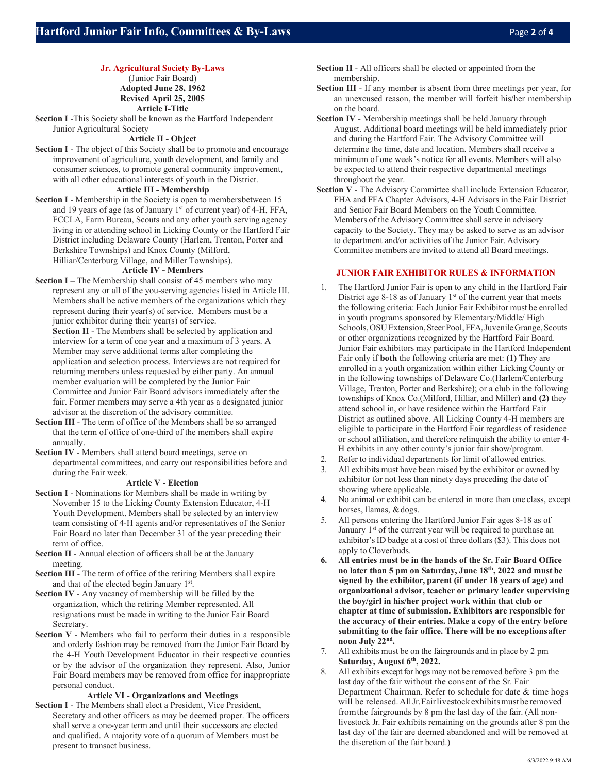## **Jr. Agricultural Society By-Laws**

(Junior Fair Board) **Adopted June 28, 1962 Revised April 25, 2005 Article I-Title**

**Section I** -This Society shall be known as the Hartford Independent Junior Agricultural Society

#### **Article II - Object**

**Section I** - The object of this Society shall be to promote and encourage improvement of agriculture, youth development, and family and consumer sciences, to promote general community improvement, with all other educational interests of youth in the District.

#### **Article III - Membership**

**Section I** - Membership in the Society is open to membersbetween 15 and 19 years of age (as of January 1st of current year) of 4-H, FFA, FCCLA, Farm Bureau, Scouts and any other youth serving agency living in or attending school in Licking County or the Hartford Fair District including Delaware County (Harlem, Trenton, Porter and Berkshire Townships) and Knox County (Milford,

## Hilliar/Centerburg Village, and Miller Townships).

#### **Article IV - Members**

**Section I –** The Membership shall consist of 45 members who may represent any or all of the you-serving agencies listed in Article III. Members shall be active members of the organizations which they represent during their year(s) of service. Members must be a junior exhibitor during their year(s) of service.

**Section II** - The Members shall be selected by application and interview for a term of one year and a maximum of 3 years. A Member may serve additional terms after completing the application and selection process. Interviews are not required for returning members unless requested by either party. An annual member evaluation will be completed by the Junior Fair Committee and Junior Fair Board advisors immediately after the fair. Former members may serve a 4th year as a designated junior advisor at the discretion of the advisory committee.

- **Section III**  The term of office of the Members shall be so arranged that the term of office of one-third of the members shall expire annually.
- **Section IV**  Members shall attend board meetings, serve on departmental committees, and carry out responsibilities before and during the Fair week.

## **Article V - Election**

- **Section I** Nominations for Members shall be made in writing by November 15 to the Licking County Extension Educator, 4-H Youth Development. Members shall be selected by an interview team consisting of 4-H agents and/or representatives of the Senior Fair Board no later than December 31 of the year preceding their term of office.
- **Section II**  Annual election of officers shall be at the January meeting.
- **Section III**  The term of office of the retiring Members shall expire and that of the elected begin January 1st.
- **Section IV**  Any vacancy of membership will be filled by the organization, which the retiring Member represented. All resignations must be made in writing to the Junior Fair Board Secretary.
- **Section V**  Members who fail to perform their duties in a responsible and orderly fashion may be removed from the Junior Fair Board by the 4-H Youth Development Educator in their respective counties or by the advisor of the organization they represent. Also, Junior Fair Board members may be removed from office for inappropriate personal conduct.

#### **Article VI - Organizations and Meetings**

**Section I** - The Members shall elect a President, Vice President, Secretary and other officers as may be deemed proper. The officers shall serve a one-year term and until their successors are elected and qualified. A majority vote of a quorum of Members must be present to transact business.

- **Section II**  All officers shall be elected or appointed from the membership.
- **Section III**  If any member is absent from three meetings per year, for an unexcused reason, the member will forfeit his/her membership on the board.
- **Section IV**  Membership meetings shall be held January through August. Additional board meetings will be held immediately prior and during the Hartford Fair. The Advisory Committee will determine the time, date and location. Members shall receive a minimum of one week's notice for all events. Members will also be expected to attend their respective departmental meetings throughout the year.
- **Section V**  The Advisory Committee shall include Extension Educator, FHA and FFA Chapter Advisors, 4-H Advisors in the Fair District and Senior Fair Board Members on the Youth Committee. Members of the Advisory Committee shall serve in advisory capacity to the Society. They may be asked to serve as an advisor to department and/or activities of the Junior Fair. Advisory Committee members are invited to attend all Board meetings.

### **JUNIOR FAIR EXHIBITOR RULES & INFORMATION**

- 1. The Hartford Junior Fair is open to any child in the Hartford Fair District age 8-18 as of January  $1<sup>st</sup>$  of the current year that meets the following criteria: Each Junior Fair Exhibitor must be enrolled in youth programs sponsored by Elementary/Middle/ High Schools, OSU Extension, Steer Pool, FFA, Juvenile Grange, Scouts or other organizations recognized by the Hartford Fair Board. Junior Fair exhibitors may participate in the Hartford Independent Fair only if **both** the following criteria are met: **(1)** They are enrolled in a youth organization within either Licking County or in the following townships of Delaware Co.(Harlem/Centerburg Village, Trenton, Porter and Berkshire); or a club in the following townships of Knox Co.(Milford, Hilliar, and Miller) **and (2)** they attend school in, or have residence within the Hartford Fair District as outlined above. All Licking County 4-H members are eligible to participate in the Hartford Fair regardless of residence or school affiliation, and therefore relinquish the ability to enter 4- H exhibits in any other county's junior fair show/program.
- 2. Refer to individual departments for limit of allowed entries.
- 3. All exhibits must have been raised by the exhibitor or owned by exhibitor for not less than ninety days preceding the date of showing where applicable.
- 4. No animal or exhibit can be entered in more than one class, except horses, llamas, & dogs.
- 5. All persons entering the Hartford Junior Fair ages 8-18 as of January  $1<sup>st</sup>$  of the current year will be required to purchase an exhibitor's ID badge at a cost of three dollars (\$3). This does not apply to Cloverbuds.
- **6. All entries must be in the hands of the Sr. Fair Board Office no later than 5 pm on Saturday, June 18th, 2022 and must be signed by the exhibitor, parent (if under 18 years of age) and organizational advisor, teacher or primary leader supervising the boy/girl in his/her project work within that club or chapter at time of submission. Exhibitors are responsible for the accuracy of their entries. Make a copy of the entry before submitting to the fair office. There will be no exceptionsafter noon July 22nd.**
- 7. All exhibits must be on the fairgrounds and in place by 2 pm **Saturday, August 6th, 2022.**
- 8. All exhibits except for hogs may not be removed before 3 pm the last day of the fair without the consent of the Sr. Fair Department Chairman. Refer to schedule for date & time hogs will be released. All Jr. Fairlivestock exhibits must be removed fromthe fairgrounds by 8 pm the last day of the fair. (All nonlivestock Jr. Fair exhibits remaining on the grounds after 8 pm the last day of the fair are deemed abandoned and will be removed at the discretion of the fair board.)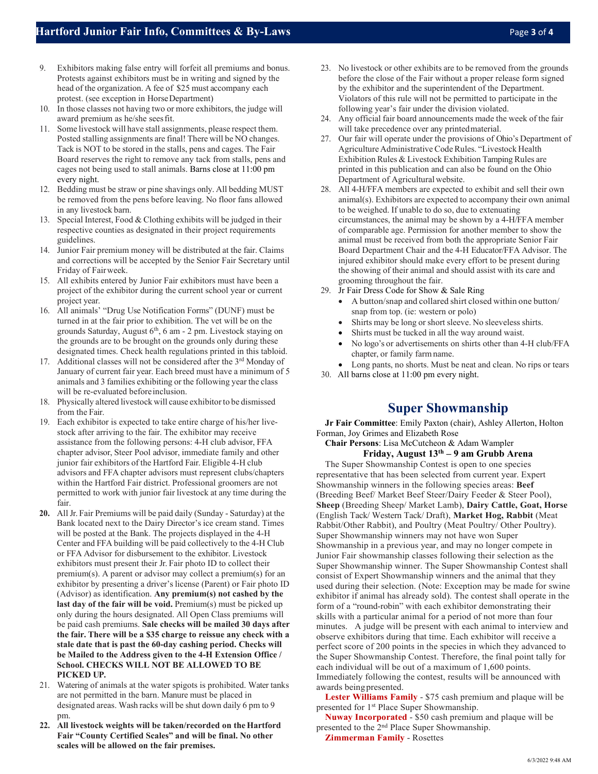- 9. Exhibitors making false entry will forfeit all premiums and bonus. Protests against exhibitors must be in writing and signed by the head of the organization. A fee of \$25 must accompany each protest. (see exception in HorseDepartment)
- 10. In those classes not having two or more exhibitors, the judge will award premium as he/she seesfit.
- 11. Some livestock will have stall assignments, please respect them. Posted stalling assignments are final! There will be NO changes. Tack is NOT to be stored in the stalls, pens and cages. The Fair Board reserves the right to remove any tack from stalls, pens and cages not being used to stall animals. Barns close at 11:00 pm every night.
- 12. Bedding must be straw or pine shavings only. All bedding MUST be removed from the pens before leaving. No floor fans allowed in any livestock barn.
- 13. Special Interest, Food & Clothing exhibits will be judged in their respective counties as designated in their project requirements guidelines.
- 14. Junior Fair premium money will be distributed at the fair. Claims and corrections will be accepted by the Senior Fair Secretary until Friday of Fairweek.
- 15. All exhibits entered by Junior Fair exhibitors must have been a project of the exhibitor during the current school year or current project year.
- 16. All animals' "Drug Use Notification Forms" (DUNF) must be turned in at the fair prior to exhibition. The vet will be on the grounds Saturday, August  $6<sup>th</sup>$ , 6 am - 2 pm. Livestock staying on the grounds are to be brought on the grounds only during these designated times. Check health regulations printed in this tabloid.
- 17. Additional classes will not be considered after the 3<sup>rd</sup> Monday of January of current fair year. Each breed must have a minimum of 5 animals and 3 families exhibiting or the following year the class will be re-evaluated before inclusion.
- 18. Physically altered livestock will cause exhibitorto be dismissed from the Fair.
- 19. Each exhibitor is expected to take entire charge of his/her livestock after arriving to the fair. The exhibitor may receive assistance from the following persons: 4-H club advisor, FFA chapter advisor, Steer Pool advisor, immediate family and other junior fair exhibitors of the Hartford Fair. Eligible 4-H club advisors and FFA chapter advisors must represent clubs/chapters within the Hartford Fair district. Professional groomers are not permitted to work with junior fair livestock at any time during the fair.
- **20.** All Jr. Fair Premiums will be paid daily (Sunday Saturday) at the Bank located next to the Dairy Director's ice cream stand. Times will be posted at the Bank. The projects displayed in the 4-H Center and FFA building will be paid collectively to the 4-H Club or FFA Advisor for disbursement to the exhibitor. Livestock exhibitors must present their Jr. Fair photo ID to collect their premium(s). A parent or advisor may collect a premium(s) for an exhibitor by presenting a driver's license (Parent) or Fair photo ID (Advisor) as identification. **Any premium(s) not cashed by the**  last day of the fair will be void. Premium(s) must be picked up only during the hours designated. All Open Class premiums will be paid cash premiums. **Sale checks will be mailed 30 days after the fair. There will be a \$35 charge to reissue any check with a stale date that is past the 60-day cashing period. Checks will be Mailed to the Address given to the 4-H Extension Office / School. CHECKS WILL NOT BE ALLOWED TO BE PICKED UP.**
- 21. Watering of animals at the water spigots is prohibited. Water tanks are not permitted in the barn. Manure must be placed in designated areas. Wash racks will be shut down daily 6 pm to 9 pm.
- **22. All livestock weights will be taken/recorded on the Hartford Fair "County Certified Scales" and will be final. No other scales will be allowed on the fair premises.**
- 23. No livestock or other exhibits are to be removed from the grounds before the close of the Fair without a proper release form signed by the exhibitor and the superintendent of the Department. Violators of this rule will not be permitted to participate in the following year's fair under the division violated.
- 24. Any official fair board announcements made the week of the fair will take precedence over any printedmaterial.
- 27. Our fair will operate under the provisions of Ohio's Department of Agriculture Administrative CodeRules. "Livestock Health Exhibition Rules & Livestock Exhibition Tamping Rules are printed in this publication and can also be found on the Ohio Department of Agricultural website.
- 28. All 4-H/FFA members are expected to exhibit and sell their own animal(s). Exhibitors are expected to accompany their own animal to be weighed. If unable to do so, due to extenuating circumstances, the animal may be shown by a 4-H/FFA member of comparable age. Permission for another member to show the animal must be received from both the appropriate Senior Fair Board Department Chair and the 4-H Educator/FFA Advisor. The injured exhibitor should make every effort to be present during the showing of their animal and should assist with its care and grooming throughout the fair.
- 29. Jr Fair Dress Code for Show & Sale Ring
	- A button/snap and collared shirt closed within one button/ snap from top. (ie: western or polo)
	- Shirts may be long or short sleeve. No sleeveless shirts.
	- Shirts must be tucked in all the way around waist.
	- No logo's or advertisements on shirts other than 4-H club/FFA chapter, or family farmname.
	- Long pants, no shorts. Must be neat and clean. No rips or tears
- 30. All barns close at 11:00 pm every night.

## **Super Showmanship**

**Jr Fair Committee**: Emily Paxton (chair), Ashley Allerton, Holton Forman, Joy Grimes and Elizabeth Rose

## **Chair Persons**: Lisa McCutcheon & Adam Wampler **Friday, August 13th – 9 am Grubb Arena**

The Super Showmanship Contest is open to one species representative that has been selected from current year. Expert Showmanship winners in the following species areas: **Beef**  (Breeding Beef/ Market Beef Steer/Dairy Feeder & Steer Pool), **Sheep** (Breeding Sheep/ Market Lamb), **Dairy Cattle, Goat, Horse**  (English Tack/ Western Tack/ Draft), **Market Hog, Rabbit** (Meat Rabbit/Other Rabbit), and Poultry (Meat Poultry/ Other Poultry). Super Showmanship winners may not have won Super Showmanship in a previous year, and may no longer compete in Junior Fair showmanship classes following their selection as the Super Showmanship winner. The Super Showmanship Contest shall consist of Expert Showmanship winners and the animal that they used during their selection. (Note: Exception may be made for swine exhibitor if animal has already sold). The contest shall operate in the form of a "round-robin" with each exhibitor demonstrating their skills with a particular animal for a period of not more than four minutes. A judge will be present with each animal to interview and observe exhibitors during that time. Each exhibitor will receive a perfect score of 200 points in the species in which they advanced to the Super Showmanship Contest. Therefore, the final point tally for each individual will be out of a maximum of 1,600 points. Immediately following the contest, results will be announced with awards beingpresented.

**Lester Williams Family** - \$75 cash premium and plaque will be presented for 1<sup>st</sup> Place Super Showmanship.

**Nuway Incorporated** - \$50 cash premium and plaque will be presented to the 2nd Place Super Showmanship.

**Zimmerman Family** - Rosettes